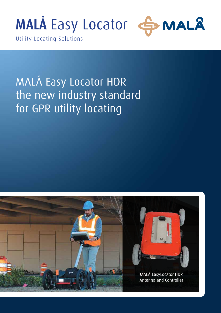



Utility Locating Solutions

# MALÅ Easy Locator HDR the new industry standard for GPR utility locating

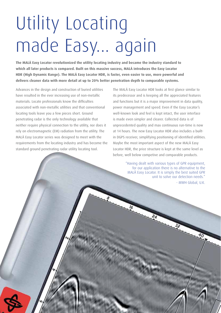# Utility Locating made Easy... again

**The MALÅ Easy Locator revolutionized the utility locating industry and became the industry standard to which all later products is compared. Built on this massive success, MALÅ introduces the Easy Locator HDR (High Dynamic Range). The MALÅ Easy Locator HDR, is faster, even easier to use, more powerful and delivers cleaner data with more detail at up to 20% better penetration depth to comparable systems.** 

Advances in the design and construction of buried utilities have resulted in the ever increasing use of non-metallic materials. Locate professionals know the difficulties associated with non-metallic utilities and that conventional locating tools leave you a few pieces short. Ground penetrating radar is the only technology available that neither require physical connection to the utility, nor does it rely on electromagnetic (EM) radiation from the utility. The MALÅ Easy Locator series was designed to meet with the requirements from the locating industry and has become the standard ground penetrating radar utility locating tool.

The MALÅ Easy Locator HDR looks at first glance similar to its predecessor and is keeping all the appreciated features and functions but it is a major improvement in data quality, power management and speed. Even if the Easy Locator's well-known look and feel is kept intact, the user interface is made even simpler and clearer. Collected data is of unprecedented quality and max continuous run-time is now at 14 hours. The new Easy Locator HDR also includes a builtin DGPS receiver, simplifying positioning of identified utilities. Maybe the most important aspect of the new MALÅ Easy Locator HDR, the price structure is kept at the same level as before, well below competive and comparable products.

> "Having dealt with various types of GPR equipment, for our application there is no alternative to the MALÅ Easy Locator. It is simply the best suited GPR unit to solve our detection needs." - MWH Global, U.K.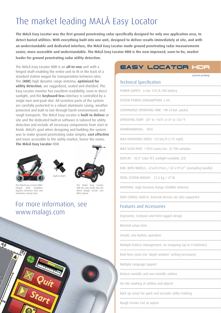## The market leading MALÅ Easy Locator

**The MALÅ Easy Locator was the first ground penetrating radar specifically designed for only one application area, to detect buried utilities. With everything built into one unit, designed to deliver results immediately at site, and with an understandable and dedicated interface, the MALÅ Easy Locator made ground penetrating radar measurements easier, more accessible and understandable. The MALÅ Easy Locator HDR is the new improved, soon-to-be, market leader for ground penetrating radar utility detection.**

The MALÅ Easy Locator HDR is an **all-in-one** unit with a hinged shaft enabling the entire unit to fit in the back of a standard station wagon for transportation between sites. The (**HDR**) high dynamic range antenna, **optimized for utility detection**, are ruggedized, sealed and shielded. The Easy Locator monitor has excellent readability, even in direct sunlight, and the **keyboard-less** interface is controlled by a single turn-and-push dial. All sensitive parts of the system are carefully protected in a robust aluminum casing, weather protected and built to last through harsh environments and rough transports. The MALÅ Easy Locator is **built to deliver** at site and the dedicated built-in software is tailored for utility detection and include all necessary components from start to finish. MALÅ's goal when designing and building the system was to make ground penetrating radar simpler, **cost effective** and more accessible to the utility market, hence the name, **The MALÅ Easy Locator** HDR.



The MALÅ Easy Locator HDR's hinged shaft simplifies logistics between sites and minimizes startup time





The MALÅ Easy Locator HDR fits also nicely into the MALÅ Rough Terrain Cart

(RTC) option.

## For more information, see www.malags.com



### **Easy Locator HDR**

(patents pending)

#### Technical Specification

POWER SUPPLY: Li-Ion 12V/8.7Ah battery

SYSTEM POWER CONSUMPTION: 2.4A

CONTINUOUS OPERATING TIME: 14h (4 bat. packs)

OPERATING TEMP: -20° to +50°C or 0° to 120 °F

ENVIRONMENTAL: IP65

MAX OPERATING SPEED: >25 km/h (>15 mph)

MAX SCAN RATE: >1024 scans/sec. @ 700 samples

DISPLAY: 10.4" Color TFT, sunlight-readable, LCD

DIM. WITH WHEELS: 67x47x19cm / 26"x19"x7" (excluding handle)

TOTAL SYSTEM WEIGHT: 21,5 kg / 47 lb

ANTENNA: High Dynamic Range 450MHz Antenna

DGPS (SBAS): Built-in. External devices are also supported.

#### Features and Accessories

Ergonomic, Compact and Field rugged design

Minimal setup time

Simple, one-button, operation

Mulitple battery management, no swapping (up to 4 batteries)

Real-time zoom (no 'depth window' setting necessary)

Multiple Language support

Detects metallic and non-metallic utilities

On-site marking of utilities and objects

Back up cursor for quick and accurate utility marking

Rough Terrain Cart as option